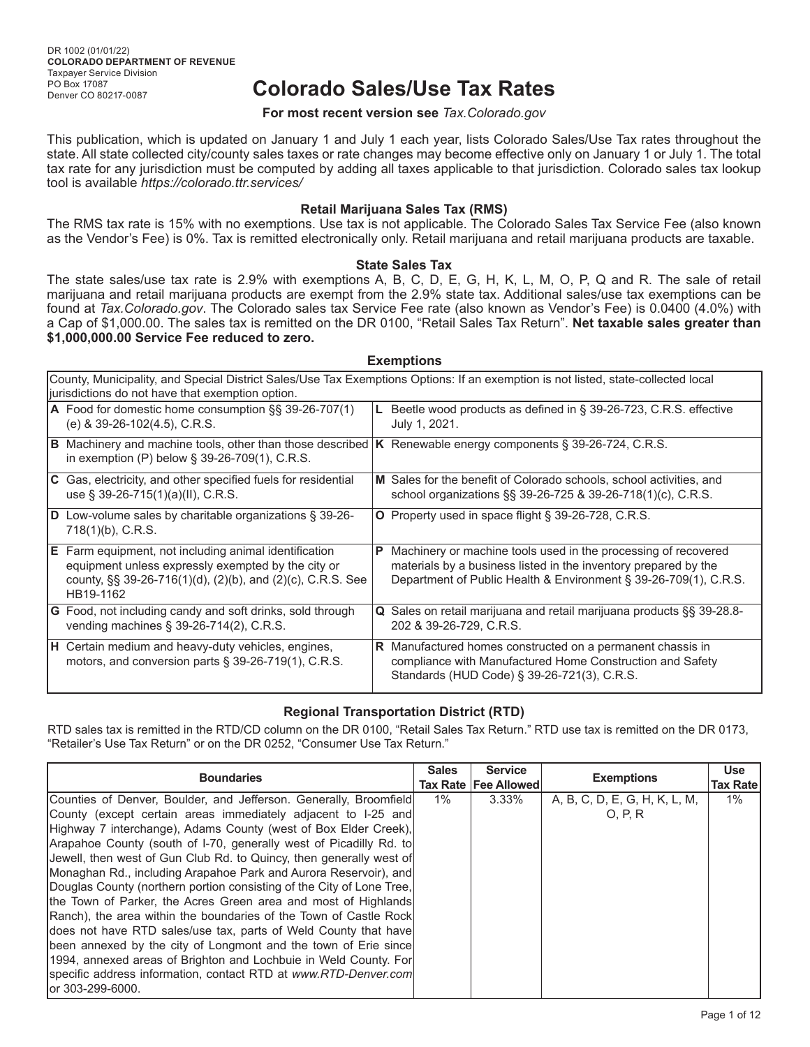# **Colorado Sales/Use Tax Rates**

#### **For most recent version see** *Tax.Colorado.gov*

This publication, which is updated on January 1 and July 1 each year, lists Colorado Sales/Use Tax rates throughout the state. All state collected city/county sales taxes or rate changes may become effective only on January 1 or July 1. The total tax rate for any jurisdiction must be computed by adding all taxes applicable to that jurisdiction. Colorado sales tax lookup tool is available *https://colorado.ttr.services/*

#### **Retail Marijuana Sales Tax (RMS)**

The RMS tax rate is 15% with no exemptions. Use tax is not applicable. The Colorado Sales Tax Service Fee (also known as the Vendor's Fee) is 0%. Tax is remitted electronically only. Retail marijuana and retail marijuana products are taxable.

#### **State Sales Tax**

The state sales/use tax rate is 2.9% with exemptions A, B, C, D, E, G, H, K, L, M, O, P, Q and R. The sale of retail marijuana and retail marijuana products are exempt from the 2.9% state tax. Additional sales/use tax exemptions can be found at *Tax.Colorado.gov*. The Colorado sales tax Service Fee rate (also known as Vendor's Fee) is 0.0400 (4.0%) with a Cap of \$1,000.00. The sales tax is remitted on the DR 0100, "Retail Sales Tax Return". **Net taxable sales greater than \$1,000,000.00 Service Fee reduced to zero.**

#### **Exemptions**

| County, Municipality, and Special District Sales/Use Tax Exemptions Options: If an exemption is not listed, state-collected local<br>jurisdictions do not have that exemption option. |                                                                                                                                                                        |  |  |  |  |
|---------------------------------------------------------------------------------------------------------------------------------------------------------------------------------------|------------------------------------------------------------------------------------------------------------------------------------------------------------------------|--|--|--|--|
| A Food for domestic home consumption §§ 39-26-707(1)                                                                                                                                  | Beetle wood products as defined in § 39-26-723, C.R.S. effective                                                                                                       |  |  |  |  |
| (e) & 39-26-102(4.5), C.R.S.                                                                                                                                                          | July 1, 2021.                                                                                                                                                          |  |  |  |  |
| <b>B</b> Machinery and machine tools, other than those described <b>K</b> Renewable energy components § 39-26-724, C.R.S.<br>in exemption (P) below $\S$ 39-26-709(1), C.R.S.         |                                                                                                                                                                        |  |  |  |  |
| <b>C</b> Gas, electricity, and other specified fuels for residential                                                                                                                  | M Sales for the benefit of Colorado schools, school activities, and                                                                                                    |  |  |  |  |
| use $\S$ 39-26-715(1)(a)(II), C.R.S.                                                                                                                                                  | school organizations §§ 39-26-725 & 39-26-718(1)(c), C.R.S.                                                                                                            |  |  |  |  |
| <b>D</b> Low-volume sales by charitable organizations $\S$ 39-26-<br>$718(1)(b)$ , C.R.S.                                                                                             | <b>O</b> Property used in space flight § 39-26-728, C.R.S.                                                                                                             |  |  |  |  |
| $\mathsf{E}\,$ Farm equipment, not including animal identification                                                                                                                    | Machinery or machine tools used in the processing of recovered                                                                                                         |  |  |  |  |
| equipment unless expressly exempted by the city or                                                                                                                                    | Р                                                                                                                                                                      |  |  |  |  |
| county, §§ 39-26-716(1)(d), (2)(b), and (2)(c), C.R.S. See                                                                                                                            | materials by a business listed in the inventory prepared by the                                                                                                        |  |  |  |  |
| HB19-1162                                                                                                                                                                             | Department of Public Health & Environment § 39-26-709(1), C.R.S.                                                                                                       |  |  |  |  |
| <b>G</b> Food, not including candy and soft drinks, sold through                                                                                                                      | Q Sales on retail marijuana and retail marijuana products §§ 39-28.8-                                                                                                  |  |  |  |  |
| vending machines § 39-26-714(2), C.R.S.                                                                                                                                               | 202 & 39-26-729, C.R.S.                                                                                                                                                |  |  |  |  |
| <b>H</b> Certain medium and heavy-duty vehicles, engines,<br>motors, and conversion parts $\S$ 39-26-719(1), C.R.S.                                                                   | R Manufactured homes constructed on a permanent chassis in<br>compliance with Manufactured Home Construction and Safety<br>Standards (HUD Code) § 39-26-721(3), C.R.S. |  |  |  |  |

### **Regional Transportation District (RTD)**

RTD sales tax is remitted in the RTD/CD column on the DR 0100, "Retail Sales Tax Return." RTD use tax is remitted on the DR 0173, "Retailer's Use Tax Return" or on the DR 0252, "Consumer Use Tax Return."

| <b>Boundaries</b>                                                     | <b>Sales</b> | <b>Service</b><br>Tax Rate   Fee Allowed | <b>Exemptions</b>             | <b>Use</b><br><b>Tax Rate</b> |
|-----------------------------------------------------------------------|--------------|------------------------------------------|-------------------------------|-------------------------------|
| Counties of Denver, Boulder, and Jefferson. Generally, Broomfield     | $1\%$        | 3.33%                                    | A, B, C, D, E, G, H, K, L, M, | $1\%$                         |
| County (except certain areas immediately adjacent to I-25 and         |              |                                          | 0. P. R                       |                               |
| Highway 7 interchange), Adams County (west of Box Elder Creek),       |              |                                          |                               |                               |
| Arapahoe County (south of I-70, generally west of Picadilly Rd. to    |              |                                          |                               |                               |
| Jewell, then west of Gun Club Rd. to Quincy, then generally west of   |              |                                          |                               |                               |
| Monaghan Rd., including Arapahoe Park and Aurora Reservoir), and      |              |                                          |                               |                               |
| Douglas County (northern portion consisting of the City of Lone Tree, |              |                                          |                               |                               |
| the Town of Parker, the Acres Green area and most of Highlands        |              |                                          |                               |                               |
| Ranch), the area within the boundaries of the Town of Castle Rock     |              |                                          |                               |                               |
| does not have RTD sales/use tax, parts of Weld County that have       |              |                                          |                               |                               |
| been annexed by the city of Longmont and the town of Erie since       |              |                                          |                               |                               |
| [1994, annexed areas of Brighton and Lochbuie in Weld County. For     |              |                                          |                               |                               |
| specific address information, contact RTD at www.RTD-Denver.com       |              |                                          |                               |                               |
| lor 303-299-6000.                                                     |              |                                          |                               |                               |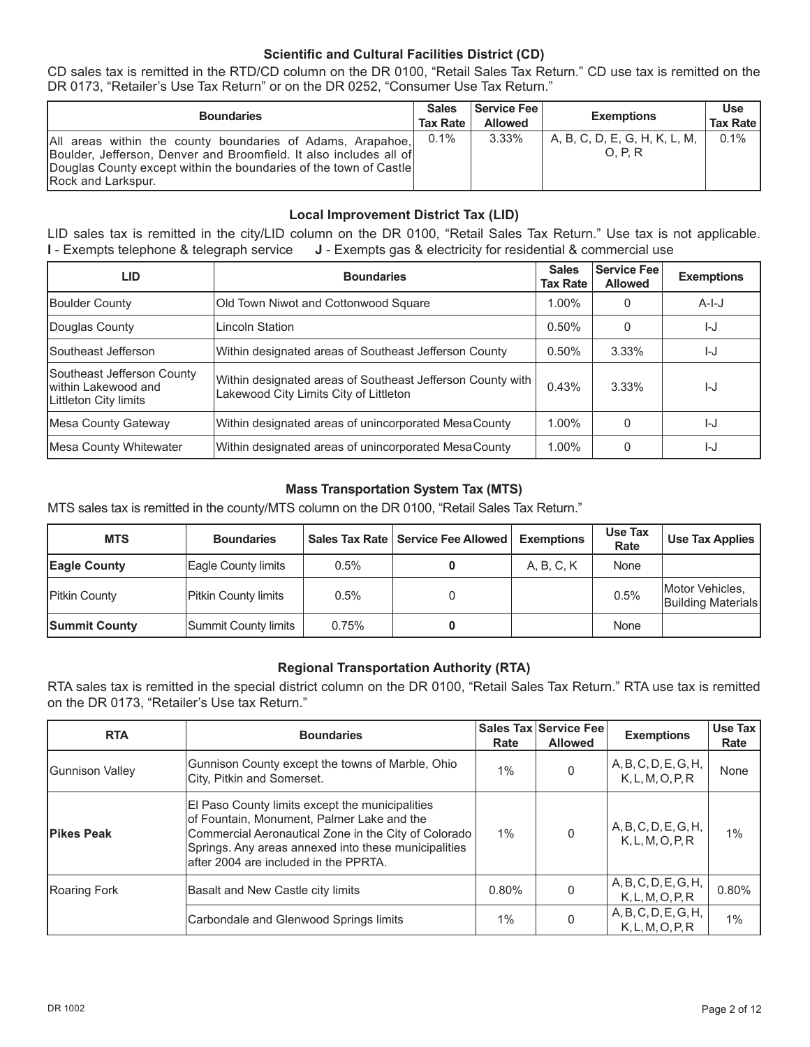### **Scientific and Cultural Facilities District (CD)**

CD sales tax is remitted in the RTD/CD column on the DR 0100, "Retail Sales Tax Return." CD use tax is remitted on the DR 0173, "Retailer's Use Tax Return" or on the DR 0252, "Consumer Use Tax Return."

| <b>Boundaries</b>                                                                                                                                                                                                           | <b>Sales</b><br><b>Tax Rate</b> | Service Fee  <br><b>Allowed</b> | <b>Exemptions</b>                      | <b>Use</b><br><b>Tax Rate</b> |
|-----------------------------------------------------------------------------------------------------------------------------------------------------------------------------------------------------------------------------|---------------------------------|---------------------------------|----------------------------------------|-------------------------------|
| All areas within the county boundaries of Adams, Arapahoe,<br>Boulder, Jefferson, Denver and Broomfield. It also includes all of<br>Douglas County except within the boundaries of the town of Castle<br>Rock and Larkspur. | 0.1%                            | 3.33%                           | A, B, C, D, E, G, H, K, L, M,<br>O.P.R | $0.1\%$                       |

### **Local Improvement District Tax (LID)**

LID sales tax is remitted in the city/LID column on the DR 0100, "Retail Sales Tax Return." Use tax is not applicable. **I** - Exempts telephone & telegraph service **J** - Exempts gas & electricity for residential & commercial use

| <b>LID</b>                                                                  | <b>Boundaries</b>                                                                                    | <b>Sales</b><br><b>Tax Rate</b> | <b>Service Fee</b><br><b>Allowed</b> | <b>Exemptions</b> |
|-----------------------------------------------------------------------------|------------------------------------------------------------------------------------------------------|---------------------------------|--------------------------------------|-------------------|
| <b>Boulder County</b>                                                       | Old Town Niwot and Cottonwood Square                                                                 | 1.00%                           | 0                                    | $A-I-J$           |
| Douglas County                                                              | Lincoln Station                                                                                      | 0.50%                           | $\Omega$                             | I-J               |
| <b>ISoutheast Jefferson</b>                                                 | Within designated areas of Southeast Jefferson County                                                | 0.50%                           | $3.33\%$                             | I-J               |
| Southeast Jefferson County<br>Iwithin Lakewood and<br>Littleton City limits | Within designated areas of Southeast Jefferson County with<br>Lakewood City Limits City of Littleton | 0.43%                           | $3.33\%$                             | I-J               |
| Mesa County Gateway                                                         | Within designated areas of unincorporated MesaCounty                                                 | 1.00%                           | $\Omega$                             | IJ                |
| Mesa County Whitewater                                                      | Within designated areas of unincorporated MesaCounty                                                 | 1.00%                           |                                      | I-J               |

### **Mass Transportation System Tax (MTS)**

MTS sales tax is remitted in the county/MTS column on the DR 0100, "Retail Sales Tax Return."

| <b>MTS</b>           | <b>Boundaries</b>    |       | Sales Tax Rate   Service Fee Allowed | Exemptions | Use Tax<br>Rate | Use Tax Applies                       |
|----------------------|----------------------|-------|--------------------------------------|------------|-----------------|---------------------------------------|
| <b>Eagle County</b>  | Eagle County limits  | 0.5%  |                                      | A, B, C, K | None            |                                       |
| <b>Pitkin County</b> | Pitkin County limits | 0.5%  |                                      |            | 0.5%            | Motor Vehicles,<br>Building Materials |
| <b>Summit County</b> | Summit County limits | 0.75% |                                      |            | None            |                                       |

### **Regional Transportation Authority (RTA)**

RTA sales tax is remitted in the special district column on the DR 0100, "Retail Sales Tax Return." RTA use tax is remitted on the DR 0173, "Retailer's Use tax Return."

| <b>RTA</b>        | <b>Boundaries</b>                                                                                                                                                                                                                                       | Rate  | Sales Tax Service Fee<br><b>Allowed</b> | <b>Exemptions</b>                        | Use Tax<br>Rate |
|-------------------|---------------------------------------------------------------------------------------------------------------------------------------------------------------------------------------------------------------------------------------------------------|-------|-----------------------------------------|------------------------------------------|-----------------|
| Gunnison Valley   | Gunnison County except the towns of Marble, Ohio<br>City, Pitkin and Somerset.                                                                                                                                                                          | $1\%$ |                                         | A, B, C, D, E, G, H,<br>K, L, M, O, P, R | None            |
| <b>Pikes Peak</b> | El Paso County limits except the municipalities<br>of Fountain, Monument, Palmer Lake and the<br>Commercial Aeronautical Zone in the City of Colorado<br>Springs. Any areas annexed into these municipalities<br>lafter 2004 are included in the PPRTA. | $1\%$ |                                         | A, B, C, D, E, G, H,<br>K, L, M, O, P, R | 1%              |
| Roaring Fork      | Basalt and New Castle city limits                                                                                                                                                                                                                       | 0.80% |                                         | A, B, C, D, E, G, H,<br>K, L, M, O, P, R | 0.80%           |
|                   | Carbondale and Glenwood Springs limits                                                                                                                                                                                                                  | $1\%$ |                                         | A, B, C, D, E, G, H,<br>K, L, M, O, P, R | 1%              |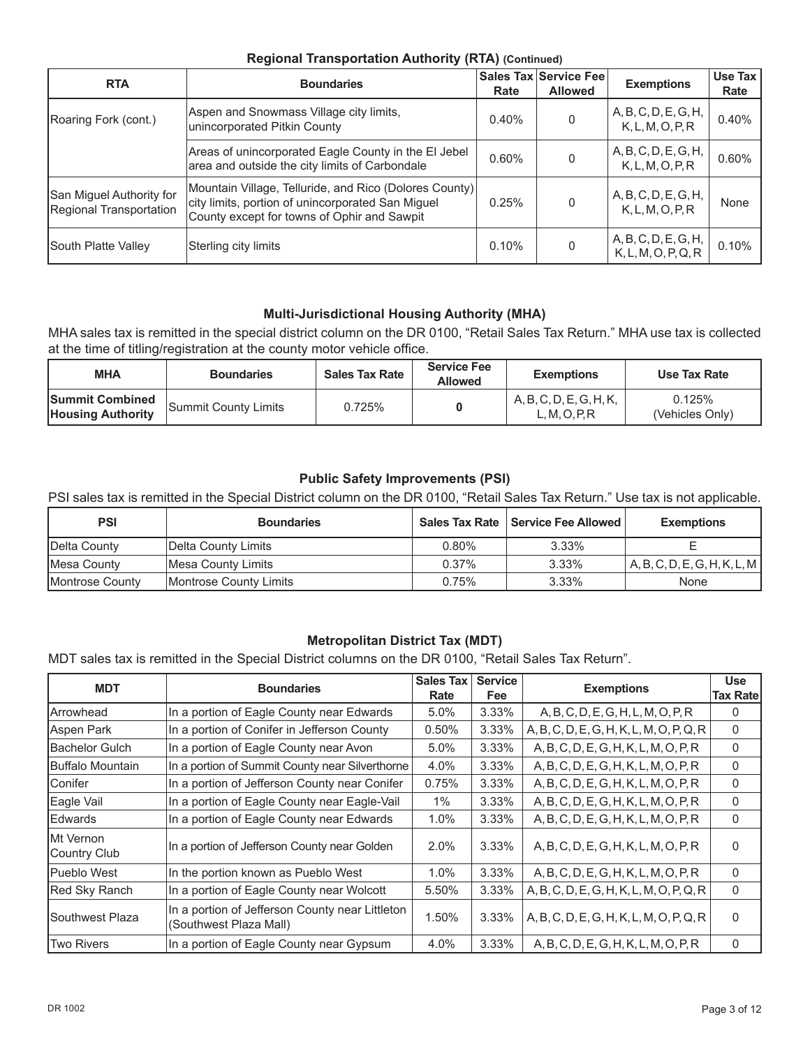### **Regional Transportation Authority (RTA) (Continued)**

| <b>RTA</b>                                          | <b>Boundaries</b>                                                                                                                                          | Rate  | Sales Tax Service Fee<br><b>Allowed</b> | <b>Exemptions</b>                           | Use Tax<br>Rate |
|-----------------------------------------------------|------------------------------------------------------------------------------------------------------------------------------------------------------------|-------|-----------------------------------------|---------------------------------------------|-----------------|
| Roaring Fork (cont.)                                | Aspen and Snowmass Village city limits,<br>unincorporated Pitkin County                                                                                    | 0.40% | $\Omega$                                | A, B, C, D, E, G, H,<br>K, L, M, O, P, R    | 0.40%           |
|                                                     | Areas of unincorporated Eagle County in the El Jebel<br>area and outside the city limits of Carbondale                                                     | 0.60% | 0                                       | A, B, C, D, E, G, H,<br>K, L, M, O, P, R    | 0.60%           |
| San Miguel Authority for<br>Regional Transportation | Mountain Village, Telluride, and Rico (Dolores County)<br>city limits, portion of unincorporated San Miguel<br>County except for towns of Ophir and Sawpit | 0.25% | $\Omega$                                | A, B, C, D, E, G, H,<br>K, L, M, O, P, R    | None            |
| South Platte Valley                                 | Sterling city limits                                                                                                                                       | 0.10% | $\Omega$                                | A, B, C, D, E, G, H,<br>K, L, M, O, P, Q, R | 0.10%           |

# **Multi-Jurisdictional Housing Authority (MHA)**

MHA sales tax is remitted in the special district column on the DR 0100, "Retail Sales Tax Return." MHA use tax is collected at the time of titling/registration at the county motor vehicle office.

| <b>MHA</b>                                         | <b>Boundaries</b>    | <b>Sales Tax Rate</b> | <b>Service Fee</b><br><b>Allowed</b> | <b>Exemptions</b>                        | Use Tax Rate              |
|----------------------------------------------------|----------------------|-----------------------|--------------------------------------|------------------------------------------|---------------------------|
| <b>Summit Combined</b><br><b>Housing Authority</b> | Summit County Limits | 0.725%                |                                      | A, B, C, D, E, G, H, K,<br>L, M, O, P, R | 0.125%<br>(Vehicles Only) |

### **Public Safety Improvements (PSI)**

PSI sales tax is remitted in the Special District column on the DR 0100, "Retail Sales Tax Return." Use tax is not applicable.

| <b>PSI</b>              | <b>Boundaries</b>      |          | Sales Tax Rate   Service Fee Allowed | <b>Exemptions</b>            |
|-------------------------|------------------------|----------|--------------------------------------|------------------------------|
| Delta County            | Delta County Limits    | $0.80\%$ | 3.33%                                |                              |
| Mesa County             | Mesa County Limits     | $0.37\%$ | 3.33%                                | A, B, C, D, E, G, H, K, L, M |
| <b>IMontrose County</b> | Montrose County Limits | 0.75%    | 3.33%                                | None                         |

# **Metropolitan District Tax (MDT)**

MDT sales tax is remitted in the Special District columns on the DR 0100, "Retail Sales Tax Return".

| <b>MDT</b>                        | <b>Boundaries</b>                                                         | <b>Sales Tax</b><br>Rate | <b>Service</b><br><b>Fee</b> | <b>Exemptions</b>                        | <b>Use</b><br><b>Tax Rate</b> |
|-----------------------------------|---------------------------------------------------------------------------|--------------------------|------------------------------|------------------------------------------|-------------------------------|
| <b>IArrowhead</b>                 | In a portion of Eagle County near Edwards                                 | 5.0%                     | 3.33%                        | A, B, C, D, E, G, H, L, M, O, P, R       | $\Omega$                      |
| Aspen Park                        | In a portion of Conifer in Jefferson County                               | 0.50%                    | 3.33%                        | A, B, C, D, E, G, H, K, L, M, O, P, Q, R | $\mathbf{0}$                  |
| <b>Bachelor Gulch</b>             | In a portion of Eagle County near Avon                                    | 5.0%                     | 3.33%                        | A, B, C, D, E, G, H, K, L, M, O, P, R    | $\mathbf{0}$                  |
| <b>Buffalo Mountain</b>           | In a portion of Summit County near Silverthorne                           | 4.0%                     | 3.33%                        | A, B, C, D, E, G, H, K, L, M, O, P, R    | $\mathbf{0}$                  |
| <b>Conifer</b>                    | In a portion of Jefferson County near Conifer                             | 0.75%                    | 3.33%                        | A, B, C, D, E, G, H, K, L, M, O, P, R    | $\mathbf{0}$                  |
| Eagle Vail                        | In a portion of Eagle County near Eagle-Vail                              | $1\%$                    | $3.33\%$                     | A, B, C, D, E, G, H, K, L, M, O, P, R    | $\Omega$                      |
| <b>Edwards</b>                    | In a portion of Eagle County near Edwards                                 | 1.0%                     | 3.33%                        | A, B, C, D, E, G, H, K, L, M, O, P, R    | $\mathbf{0}$                  |
| <b>IMt Vernon</b><br>Country Club | In a portion of Jefferson County near Golden                              | 2.0%                     | 3.33%                        | A, B, C, D, E, G, H, K, L, M, O, P, R    | $\Omega$                      |
| <b>Pueblo West</b>                | In the portion known as Pueblo West                                       | 1.0%                     | 3.33%                        | A, B, C, D, E, G, H, K, L, M, O, P, R    | $\mathbf{0}$                  |
| Red Sky Ranch                     | In a portion of Eagle County near Wolcott                                 | 5.50%                    | 3.33%                        | A, B, C, D, E, G, H, K, L, M, O, P, Q, R | $\Omega$                      |
| <b>Southwest Plaza</b>            | In a portion of Jefferson County near Littleton<br>(Southwest Plaza Mall) | 1.50%                    | 3.33%                        | A, B, C, D, E, G, H, K, L, M, O, P, Q, R | $\Omega$                      |
| <b>Two Rivers</b>                 | In a portion of Eagle County near Gypsum                                  | 4.0%                     | 3.33%                        | A, B, C, D, E, G, H, K, L, M, O, P, R    | $\mathbf{0}$                  |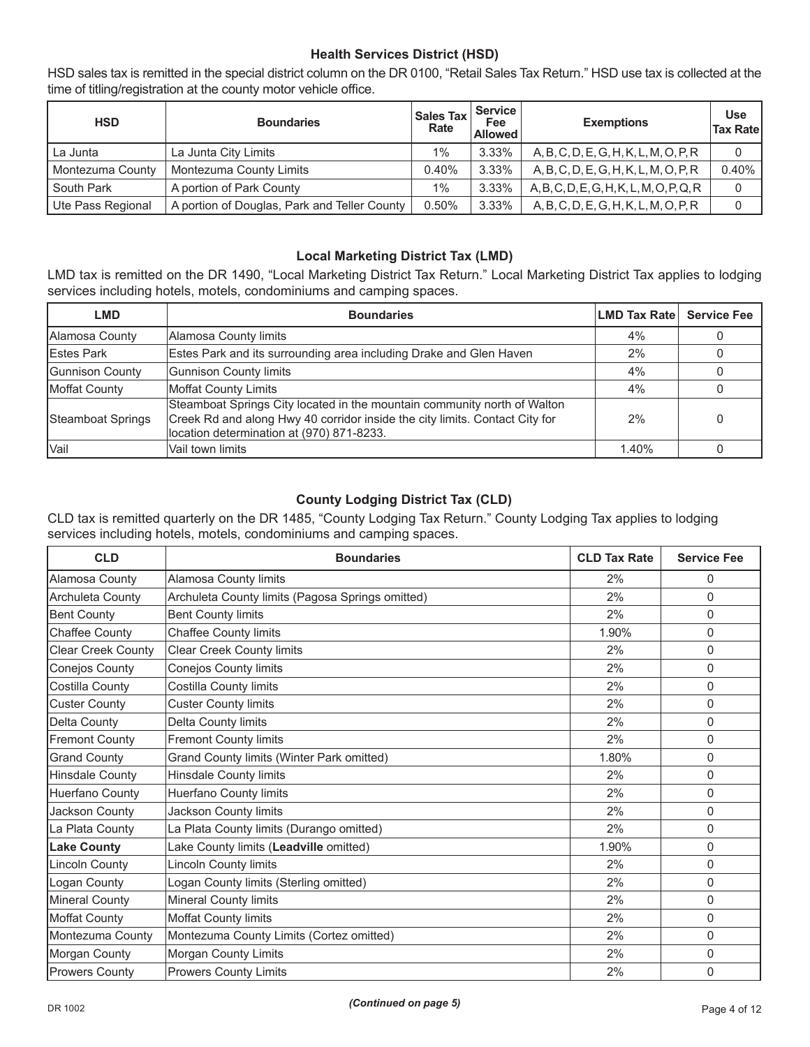# **Health Services District (HSD)**

HSD sales tax is remitted in the special district column on the DR 0100, "Retail Sales Tax Return." HSD use tax is collected at the time of titling/registration at the county motor vehicle office.

| <b>HSD</b>        | <b>Boundaries</b>                            | <b>Sales Tax</b><br>Rate | <b>Service</b><br>Fee<br><b>Allowed</b> | <b>Exemptions</b>                          | <b>Use</b><br><b>Tax Ratel</b> |
|-------------------|----------------------------------------------|--------------------------|-----------------------------------------|--------------------------------------------|--------------------------------|
| La Junta          | La Junta City Limits                         | $1\%$                    | 3.33%                                   | A, B, C, D, E, G, H, K, L, M, O, P, R      | 0                              |
| Montezuma County  | Montezuma County Limits                      | 0.40%                    | 3.33%                                   | A, B, C, D, E, G, H, K, L, M, O, P, R      | 0.40%                          |
| South Park        | A portion of Park County                     | $1\%$                    | 3.33%                                   | $A, B, C, D, E, G, H, K, L, M, O, P, Q, R$ | 0                              |
| Ute Pass Regional | A portion of Douglas, Park and Teller County | 0.50%                    | 3.33%                                   | A, B, C, D, E, G, H, K, L, M, O, P, R      |                                |

### **Local Marketing District Tax (LMD)**

LMD tax is remitted on the DR 1490, "Local Marketing District Tax Return." Local Marketing District Tax applies to lodging services including hotels, motels, condominiums and camping spaces.

| LMD                | <b>Boundaries</b>                                                                                                                                                                                    | <b>LMD Tax Rate</b> | <b>Service Fee</b> |
|--------------------|------------------------------------------------------------------------------------------------------------------------------------------------------------------------------------------------------|---------------------|--------------------|
| Alamosa County     | Alamosa County limits                                                                                                                                                                                | 4%                  |                    |
| <b>IEstes Park</b> | Estes Park and its surrounding area including Drake and Glen Haven                                                                                                                                   | 2%                  | 0                  |
| Gunnison County    | Gunnison County limits                                                                                                                                                                               | 4%                  |                    |
| Moffat County      | <b>Moffat County Limits</b>                                                                                                                                                                          | 4%                  |                    |
| Steamboat Springs  | Steamboat Springs City located in the mountain community north of Walton<br>Creek Rd and along Hwy 40 corridor inside the city limits. Contact City for<br>location determination at (970) 871-8233. | 2%                  | 0                  |
| lVail              | Vail town limits                                                                                                                                                                                     | 1.40%               |                    |

### **County Lodging District Tax (CLD)**

CLD tax is remitted quarterly on the DR 1485, "County Lodging Tax Return." County Lodging Tax applies to lodging services including hotels, motels, condominiums and camping spaces.

| <b>CLD</b>                | <b>Boundaries</b>                                | <b>CLD Tax Rate</b> | <b>Service Fee</b> |
|---------------------------|--------------------------------------------------|---------------------|--------------------|
| Alamosa County            | Alamosa County limits                            | 2%                  | 0                  |
| Archuleta County          | Archuleta County limits (Pagosa Springs omitted) | 2%                  | $\Omega$           |
| <b>Bent County</b>        | <b>Bent County limits</b>                        | 2%                  | $\mathbf 0$        |
| Chaffee County            | Chaffee County limits                            | 1.90%               | $\Omega$           |
| <b>Clear Creek County</b> | <b>Clear Creek County limits</b>                 | 2%                  | $\mathbf{0}$       |
| Conejos County            | Conejos County limits                            | 2%                  | $\mathbf{0}$       |
| Costilla County           | Costilla County limits                           | 2%                  | $\mathbf 0$        |
| <b>Custer County</b>      | <b>Custer County limits</b>                      | 2%                  | $\mathbf{0}$       |
| Delta County              | Delta County limits                              | 2%                  | $\Omega$           |
| <b>Fremont County</b>     | <b>Fremont County limits</b>                     | 2%                  | $\Omega$           |
| <b>Grand County</b>       | Grand County limits (Winter Park omitted)        | 1.80%               | $\Omega$           |
| Hinsdale County           | Hinsdale County limits                           | 2%                  | $\Omega$           |
| Huerfano County           | Huerfano County limits                           | 2%                  | $\Omega$           |
| Jackson County            | Jackson County limits                            | 2%                  | $\Omega$           |
| La Plata County           | La Plata County limits (Durango omitted)         | 2%                  | $\mathbf{0}$       |
| <b>Lake County</b>        | Lake County limits (Leadville omitted)           | 1.90%               | $\Omega$           |
| <b>Lincoln County</b>     | <b>Lincoln County limits</b>                     | 2%                  | $\mathbf{0}$       |
| Logan County              | Logan County limits (Sterling omitted)           | 2%                  | $\Omega$           |
| Mineral County            | Mineral County limits                            | 2%                  | $\mathbf{0}$       |
| Moffat County             | Moffat County limits                             | 2%                  | $\Omega$           |
| Montezuma County          | Montezuma County Limits (Cortez omitted)         | 2%                  | $\mathbf{0}$       |
| Morgan County             | Morgan County Limits                             | 2%                  | 0                  |
| <b>Prowers County</b>     | <b>Prowers County Limits</b>                     | 2%                  | $\mathbf{0}$       |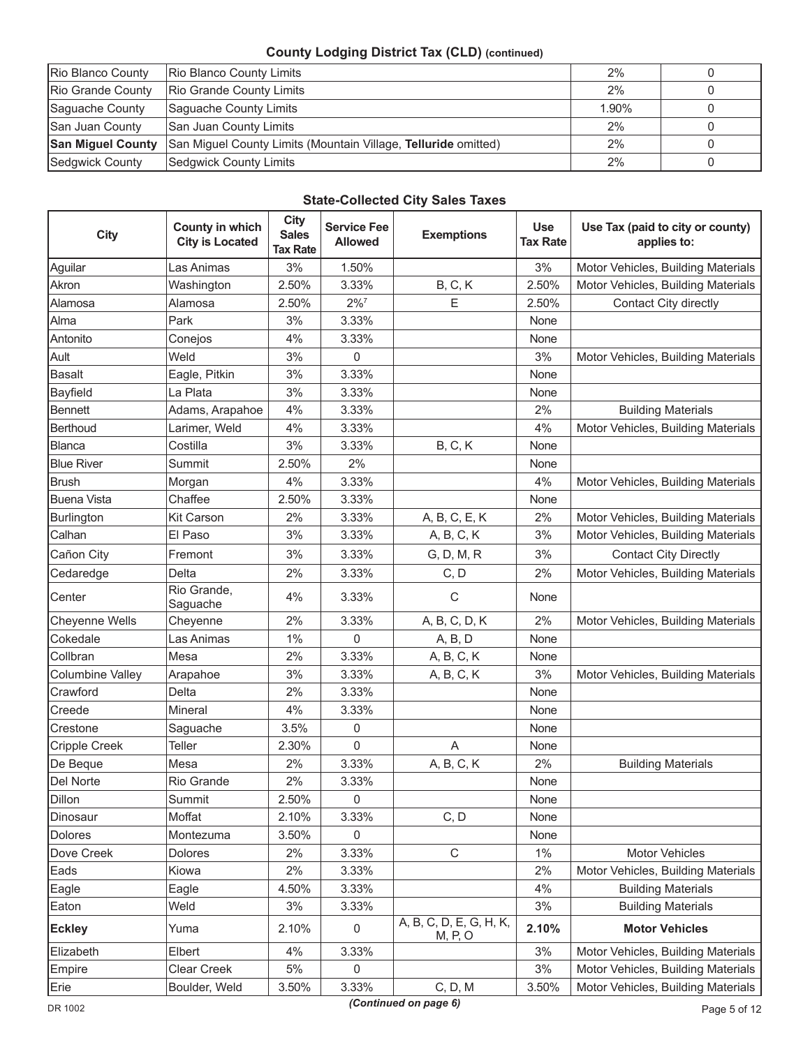# **County Lodging District Tax (CLD) (continued)**

| Rio Blanco County        | Rio Blanco County Limits                                       | 2%    |  |
|--------------------------|----------------------------------------------------------------|-------|--|
| Rio Grande County        | Rio Grande County Limits                                       | 2%    |  |
| Saguache County          | Saguache County Limits                                         | 1.90% |  |
| San Juan County          | San Juan County Limits                                         | 2%    |  |
| <b>San Miguel County</b> | San Miguel County Limits (Mountain Village, Telluride omitted) | 2%    |  |
| Sedgwick County          | Sedgwick County Limits                                         | 2%    |  |

# **State-Collected City Sales Taxes**

| <b>City</b>             | County in which<br><b>City is Located</b> | <b>City</b><br><b>Sales</b><br><b>Tax Rate</b> | <b>Service Fee</b><br><b>Allowed</b> | <b>Exemptions</b>                  | <b>Use</b><br><b>Tax Rate</b> | Use Tax (paid to city or county)<br>applies to: |
|-------------------------|-------------------------------------------|------------------------------------------------|--------------------------------------|------------------------------------|-------------------------------|-------------------------------------------------|
| Aguilar                 | Las Animas                                | 3%                                             | 1.50%                                |                                    | 3%                            | Motor Vehicles, Building Materials              |
| Akron                   | Washington                                | 2.50%                                          | 3.33%                                | <b>B</b> , C, K                    | 2.50%                         | Motor Vehicles, Building Materials              |
| Alamosa                 | Alamosa                                   | 2.50%                                          | $2\%$ <sup>7</sup>                   | E                                  | 2.50%                         | Contact City directly                           |
| Alma                    | Park                                      | 3%                                             | 3.33%                                |                                    | None                          |                                                 |
| Antonito                | Conejos                                   | 4%                                             | 3.33%                                |                                    | None                          |                                                 |
| Ault                    | Weld                                      | 3%                                             | 0                                    |                                    | 3%                            | Motor Vehicles, Building Materials              |
| <b>Basalt</b>           | Eagle, Pitkin                             | 3%                                             | 3.33%                                |                                    | None                          |                                                 |
| <b>Bayfield</b>         | La Plata                                  | 3%                                             | 3.33%                                |                                    | None                          |                                                 |
| <b>Bennett</b>          | Adams, Arapahoe                           | 4%                                             | 3.33%                                |                                    | 2%                            | <b>Building Materials</b>                       |
| Berthoud                | Larimer, Weld                             | 4%                                             | 3.33%                                |                                    | 4%                            | Motor Vehicles, Building Materials              |
| Blanca                  | Costilla                                  | 3%                                             | 3.33%                                | <b>B</b> , C, K                    | None                          |                                                 |
| <b>Blue River</b>       | Summit                                    | 2.50%                                          | 2%                                   |                                    | None                          |                                                 |
| <b>Brush</b>            | Morgan                                    | 4%                                             | 3.33%                                |                                    | 4%                            | Motor Vehicles, Building Materials              |
| <b>Buena Vista</b>      | Chaffee                                   | 2.50%                                          | 3.33%                                |                                    | None                          |                                                 |
| Burlington              | Kit Carson                                | 2%                                             | 3.33%                                | A, B, C, E, K                      | 2%                            | Motor Vehicles, Building Materials              |
| Calhan                  | El Paso                                   | 3%                                             | 3.33%                                | A, B, C, K                         | 3%                            | Motor Vehicles, Building Materials              |
| Cañon City              | Fremont                                   | 3%                                             | 3.33%                                | G, D, M, R                         | 3%                            | <b>Contact City Directly</b>                    |
| Cedaredge               | Delta                                     | 2%                                             | 3.33%                                | C, D                               | 2%                            | Motor Vehicles, Building Materials              |
| Center                  | Rio Grande,<br>Saguache                   | 4%                                             | 3.33%                                | $\mathsf C$                        | None                          |                                                 |
| Cheyenne Wells          | Cheyenne                                  | 2%                                             | 3.33%                                | A, B, C, D, K                      | 2%                            | Motor Vehicles, Building Materials              |
| Cokedale                | Las Animas                                | 1%                                             | 0                                    | A, B, D                            | None                          |                                                 |
| Collbran                | Mesa                                      | 2%                                             | 3.33%                                | A, B, C, K                         | None                          |                                                 |
| <b>Columbine Valley</b> | Arapahoe                                  | 3%                                             | 3.33%                                | A, B, C, K                         | 3%                            | Motor Vehicles, Building Materials              |
| Crawford                | Delta                                     | 2%                                             | 3.33%                                |                                    | None                          |                                                 |
| Creede                  | Mineral                                   | 4%                                             | 3.33%                                |                                    | None                          |                                                 |
| Crestone                | Saguache                                  | 3.5%                                           | 0                                    |                                    | None                          |                                                 |
| Cripple Creek           | Teller                                    | 2.30%                                          | $\mathsf 0$                          | A                                  | None                          |                                                 |
| De Beque                | Mesa                                      | 2%                                             | 3.33%                                | A, B, C, K                         | 2%                            | <b>Building Materials</b>                       |
| Del Norte               | Rio Grande                                | 2%                                             | 3.33%                                |                                    | None                          |                                                 |
| Dillon                  | Summit                                    | 2.50%                                          | $\mathsf 0$                          |                                    | None                          |                                                 |
| Dinosaur                | Moffat                                    | 2.10%                                          | 3.33%                                | C, D                               | None                          |                                                 |
| <b>Dolores</b>          | Montezuma                                 | 3.50%                                          | 0                                    |                                    | None                          |                                                 |
| Dove Creek              | Dolores                                   | 2%                                             | 3.33%                                | $\mathsf C$                        | $1\%$                         | Motor Vehicles                                  |
| Eads                    | Kiowa                                     | 2%                                             | 3.33%                                |                                    | 2%                            | Motor Vehicles, Building Materials              |
| Eagle                   | Eagle                                     | 4.50%                                          | 3.33%                                |                                    | 4%                            | <b>Building Materials</b>                       |
| Eaton                   | Weld                                      | 3%                                             | 3.33%                                |                                    | 3%                            | <b>Building Materials</b>                       |
| <b>Eckley</b>           | Yuma                                      | 2.10%                                          | 0                                    | A, B, C, D, E, G, H, K,<br>M, P, O | 2.10%                         | <b>Motor Vehicles</b>                           |
| Elizabeth               | Elbert                                    | 4%                                             | 3.33%                                |                                    | 3%                            | Motor Vehicles, Building Materials              |
| Empire                  | Clear Creek                               | 5%                                             | 0                                    |                                    | 3%                            | Motor Vehicles, Building Materials              |
| Erie                    | Boulder, Weld                             | 3.50%                                          | 3.33%                                | C, D, M                            | 3.50%                         | Motor Vehicles, Building Materials              |

*(Continued on page 6)*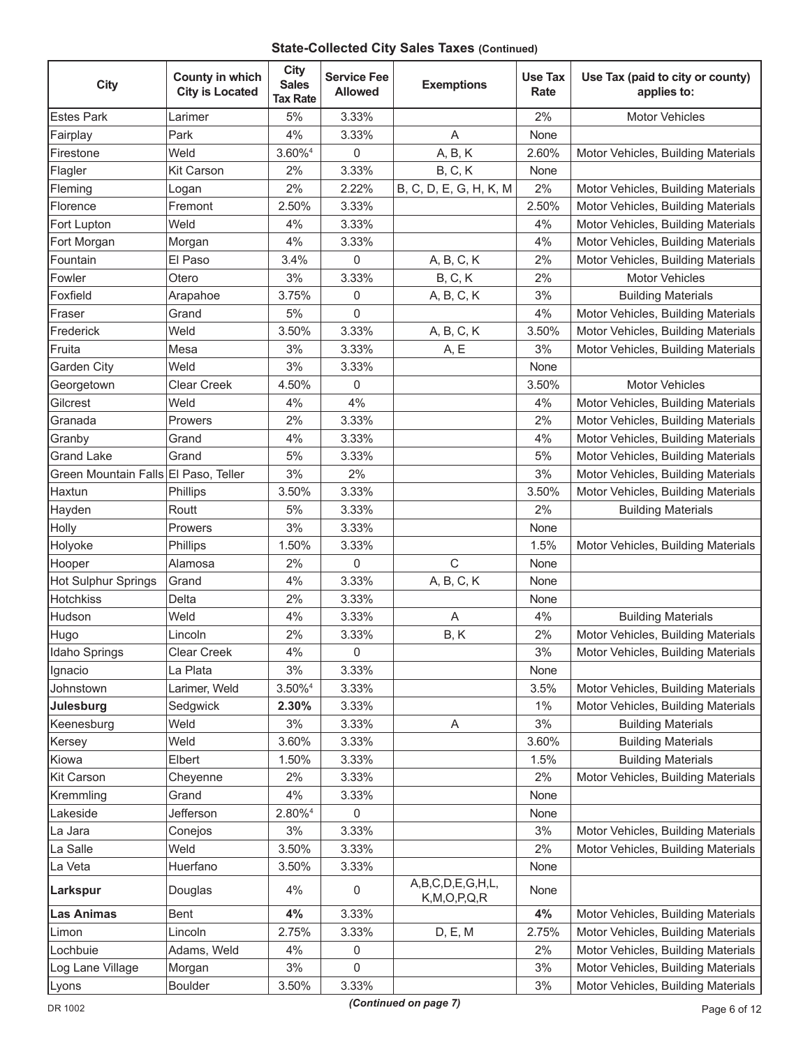# **State-Collected City Sales Taxes (Continued)**

| <b>City</b>                          | County in which<br><b>City is Located</b> | <b>City</b><br><b>Sales</b><br><b>Tax Rate</b> | <b>Service Fee</b><br><b>Allowed</b> | <b>Exemptions</b>                    | <b>Use Tax</b><br>Rate | Use Tax (paid to city or county)<br>applies to: |
|--------------------------------------|-------------------------------------------|------------------------------------------------|--------------------------------------|--------------------------------------|------------------------|-------------------------------------------------|
| <b>Estes Park</b>                    | Larimer                                   | 5%                                             | 3.33%                                |                                      | 2%                     | <b>Motor Vehicles</b>                           |
| Fairplay                             | Park                                      | 4%                                             | 3.33%                                | A                                    | None                   |                                                 |
| Firestone                            | Weld                                      | 3.60% <sup>4</sup>                             | $\mathbf 0$                          | A, B, K                              | 2.60%                  | Motor Vehicles, Building Materials              |
| Flagler                              | <b>Kit Carson</b>                         | 2%                                             | 3.33%                                | <b>B, C, K</b>                       | None                   |                                                 |
| Fleming                              | Logan                                     | 2%                                             | 2.22%                                | B, C, D, E, G, H, K, M               | 2%                     | Motor Vehicles, Building Materials              |
| Florence                             | Fremont                                   | 2.50%                                          | 3.33%                                |                                      | 2.50%                  | Motor Vehicles, Building Materials              |
| Fort Lupton                          | Weld                                      | 4%                                             | 3.33%                                |                                      | 4%                     | Motor Vehicles, Building Materials              |
| Fort Morgan                          | Morgan                                    | 4%                                             | 3.33%                                |                                      | 4%                     | Motor Vehicles, Building Materials              |
| Fountain                             | El Paso                                   | 3.4%                                           | 0                                    | A, B, C, K                           | 2%                     | Motor Vehicles, Building Materials              |
| Fowler                               | Otero                                     | 3%                                             | 3.33%                                | <b>B, C, K</b>                       | 2%                     | <b>Motor Vehicles</b>                           |
| Foxfield                             | Arapahoe                                  | 3.75%                                          | $\pmb{0}$                            | A, B, C, K                           | 3%                     | <b>Building Materials</b>                       |
| Fraser                               | Grand                                     | 5%                                             | $\pmb{0}$                            |                                      | 4%                     | Motor Vehicles, Building Materials              |
| Frederick                            | Weld                                      | 3.50%                                          | 3.33%                                | A, B, C, K                           | 3.50%                  | Motor Vehicles, Building Materials              |
| Fruita                               | Mesa                                      | 3%                                             | 3.33%                                | A, E                                 | 3%                     | Motor Vehicles, Building Materials              |
| Garden City                          | Weld                                      | 3%                                             | 3.33%                                |                                      | None                   |                                                 |
| Georgetown                           | <b>Clear Creek</b>                        | 4.50%                                          | 0                                    |                                      | 3.50%                  | Motor Vehicles                                  |
| Gilcrest                             | Weld                                      | 4%                                             | 4%                                   |                                      | 4%                     | Motor Vehicles, Building Materials              |
| Granada                              | Prowers                                   | 2%                                             | 3.33%                                |                                      | 2%                     | Motor Vehicles, Building Materials              |
| Granby                               | Grand                                     | 4%                                             | 3.33%                                |                                      | 4%                     | Motor Vehicles, Building Materials              |
| <b>Grand Lake</b>                    | Grand                                     | 5%                                             | 3.33%                                |                                      | 5%                     | Motor Vehicles, Building Materials              |
| Green Mountain Falls El Paso, Teller |                                           | 3%                                             | 2%                                   |                                      | 3%                     | Motor Vehicles, Building Materials              |
| Haxtun                               | Phillips                                  | 3.50%                                          | 3.33%                                |                                      | 3.50%                  | Motor Vehicles, Building Materials              |
| Hayden                               | Routt                                     | 5%                                             | 3.33%                                |                                      | 2%                     | <b>Building Materials</b>                       |
| Holly                                | Prowers                                   | 3%                                             | 3.33%                                |                                      | None                   |                                                 |
| Holyoke                              | Phillips                                  | 1.50%                                          | 3.33%                                |                                      | 1.5%                   | Motor Vehicles, Building Materials              |
| Hooper                               | Alamosa                                   | 2%                                             | 0                                    | $\mathsf{C}$                         | None                   |                                                 |
| Hot Sulphur Springs                  | Grand                                     | 4%                                             | 3.33%                                | A, B, C, K                           | None                   |                                                 |
| <b>Hotchkiss</b>                     | Delta                                     | 2%                                             | 3.33%                                |                                      | None                   |                                                 |
| Hudson                               | Weld                                      | 4%                                             | 3.33%                                | A                                    | 4%                     | <b>Building Materials</b>                       |
| Hugo                                 | Lincoln                                   | 2%                                             | 3.33%                                | B, K                                 | 2%                     | Motor Vehicles, Building Materials              |
| Idaho Springs                        | Clear Creek                               | 4%                                             | 0                                    |                                      | 3%                     | Motor Vehicles, Building Materials              |
| Ignacio                              | La Plata                                  | 3%                                             | 3.33%                                |                                      | None                   |                                                 |
| Johnstown                            | Larimer, Weld                             | 3.50% <sup>4</sup>                             | 3.33%                                |                                      | 3.5%                   | Motor Vehicles, Building Materials              |
| Julesburg                            | Sedgwick                                  | 2.30%                                          | 3.33%                                |                                      | $1\%$                  | Motor Vehicles, Building Materials              |
| Keenesburg                           | Weld                                      | 3%                                             | 3.33%                                | A                                    | 3%                     | <b>Building Materials</b>                       |
| Kersey                               | Weld                                      | 3.60%                                          | 3.33%                                |                                      | 3.60%                  | <b>Building Materials</b>                       |
| Kiowa                                | Elbert                                    | 1.50%                                          | 3.33%                                |                                      | 1.5%                   | <b>Building Materials</b>                       |
| Kit Carson                           | Cheyenne                                  | 2%                                             | 3.33%                                |                                      | 2%                     | Motor Vehicles, Building Materials              |
| Kremmling                            | Grand                                     | 4%                                             | 3.33%                                |                                      | None                   |                                                 |
| Lakeside                             | Jefferson                                 | 2.80% <sup>4</sup>                             | 0                                    |                                      | None                   |                                                 |
| La Jara                              | Conejos                                   | 3%                                             | 3.33%                                |                                      | 3%                     | Motor Vehicles, Building Materials              |
| La Salle                             | Weld                                      | 3.50%                                          | 3.33%                                |                                      | 2%                     | Motor Vehicles, Building Materials              |
| La Veta                              | Huerfano                                  | 3.50%                                          | 3.33%                                |                                      | None                   |                                                 |
| Larkspur                             | Douglas                                   | 4%                                             | $\mathsf 0$                          | A,B,C,D,E,G,H,L,<br>K, M, O, P, Q, R | None                   |                                                 |
| Las Animas                           | Bent                                      | 4%                                             | 3.33%                                |                                      | 4%                     | Motor Vehicles, Building Materials              |
| Limon                                | Lincoln                                   | 2.75%                                          | 3.33%                                | D, E, M                              | 2.75%                  | Motor Vehicles, Building Materials              |
| Lochbuie                             | Adams, Weld                               | 4%                                             | 0                                    |                                      | 2%                     | Motor Vehicles, Building Materials              |
| Log Lane Village                     | Morgan                                    | 3%                                             | 0                                    |                                      | 3%                     | Motor Vehicles, Building Materials              |
| Lyons                                | <b>Boulder</b>                            | 3.50%                                          | 3.33%                                |                                      | $3%$                   | Motor Vehicles, Building Materials              |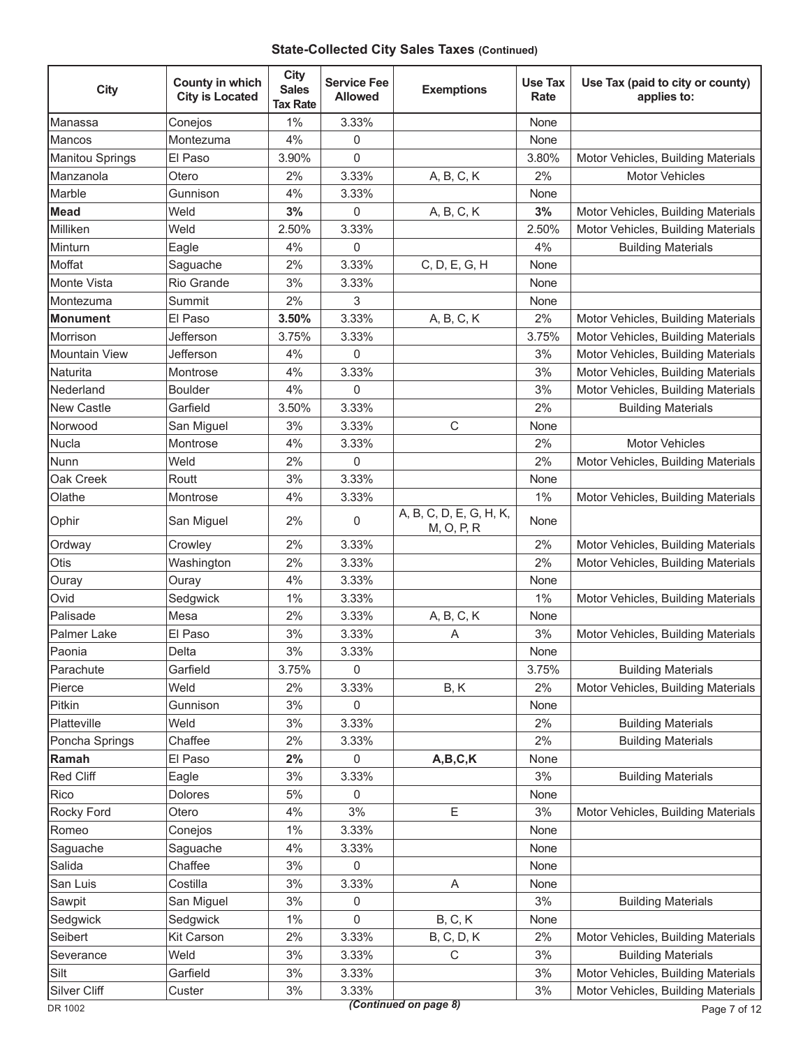### **State-Collected City Sales Taxes (Continued)**

| <b>City</b>        | County in which<br><b>City is Located</b> | <b>City</b><br><b>Sales</b><br><b>Tax Rate</b> | <b>Service Fee</b><br><b>Allowed</b> | <b>Exemptions</b>                     | <b>Use Tax</b><br>Rate | Use Tax (paid to city or county)<br>applies to: |
|--------------------|-------------------------------------------|------------------------------------------------|--------------------------------------|---------------------------------------|------------------------|-------------------------------------------------|
| <b>Manassa</b>     | Conejos                                   | 1%                                             | 3.33%                                |                                       | None                   |                                                 |
| Mancos             | Montezuma                                 | 4%                                             | 0                                    |                                       | None                   |                                                 |
| Manitou Springs    | El Paso                                   | 3.90%                                          | 0                                    |                                       | 3.80%                  | Motor Vehicles, Building Materials              |
| Manzanola          | Otero                                     | 2%                                             | 3.33%                                | A, B, C, K                            | 2%                     | <b>Motor Vehicles</b>                           |
| Marble             | Gunnison                                  | 4%                                             | 3.33%                                |                                       | None                   |                                                 |
| <b>Mead</b>        | Weld                                      | 3%                                             | 0                                    | A, B, C, K                            | 3%                     | Motor Vehicles, Building Materials              |
| Milliken           | Weld                                      | 2.50%                                          | 3.33%                                |                                       | 2.50%                  | Motor Vehicles, Building Materials              |
| Minturn            | Eagle                                     | 4%                                             | 0                                    |                                       | 4%                     | <b>Building Materials</b>                       |
| Moffat             | Saguache                                  | 2%                                             | 3.33%                                | C, D, E, G, H                         | None                   |                                                 |
| Monte Vista        | Rio Grande                                | 3%                                             | 3.33%                                |                                       | None                   |                                                 |
| <b>I</b> Montezuma | Summit                                    | 2%                                             | 3                                    |                                       | None                   |                                                 |
| <b>Monument</b>    | El Paso                                   | 3.50%                                          | 3.33%                                | A, B, C, K                            | 2%                     | Motor Vehicles, Building Materials              |
| Morrison           | Jefferson                                 | 3.75%                                          | 3.33%                                |                                       | 3.75%                  | Motor Vehicles, Building Materials              |
| Mountain View      | Jefferson                                 | 4%                                             | 0                                    |                                       | 3%                     | Motor Vehicles, Building Materials              |
| Naturita           | Montrose                                  | 4%                                             | 3.33%                                |                                       | 3%                     | Motor Vehicles, Building Materials              |
| Nederland          | <b>Boulder</b>                            | 4%                                             | 0                                    |                                       | 3%                     | Motor Vehicles, Building Materials              |
| <b>New Castle</b>  | Garfield                                  | 3.50%                                          | 3.33%                                |                                       | 2%                     | <b>Building Materials</b>                       |
| Norwood            | San Miguel                                | 3%                                             | 3.33%                                | C                                     | None                   |                                                 |
| Nucla              | Montrose                                  | 4%                                             | 3.33%                                |                                       | 2%                     | <b>Motor Vehicles</b>                           |
| Nunn               | Weld                                      | 2%                                             | 0                                    |                                       | 2%                     | Motor Vehicles, Building Materials              |
| Oak Creek          | Routt                                     | 3%                                             | 3.33%                                |                                       | None                   |                                                 |
| Olathe             | Montrose                                  | 4%                                             | 3.33%                                |                                       | $1\%$                  | Motor Vehicles, Building Materials              |
| Ophir              | San Miguel                                | 2%                                             | 0                                    | A, B, C, D, E, G, H, K,<br>M, O, P, R | None                   |                                                 |
| Ordway             | Crowley                                   | 2%                                             | 3.33%                                |                                       | 2%                     | Motor Vehicles, Building Materials              |
| Otis               | Washington                                | 2%                                             | 3.33%                                |                                       | 2%                     | Motor Vehicles, Building Materials              |
| Ouray              | Ouray                                     | 4%                                             | 3.33%                                |                                       | None                   |                                                 |
| Ovid               | Sedgwick                                  | 1%                                             | 3.33%                                |                                       | 1%                     | Motor Vehicles, Building Materials              |
| Palisade           | Mesa                                      | 2%                                             | 3.33%                                | A, B, C, K                            | None                   |                                                 |
| Palmer Lake        | El Paso                                   | 3%                                             | 3.33%                                | Α                                     | 3%                     | Motor Vehicles, Building Materials              |
| Paonia             | Delta                                     | 3%                                             | 3.33%                                |                                       | None                   |                                                 |
| Parachute          | Garfield                                  | 3.75%                                          | 0                                    |                                       | 3.75%                  | <b>Building Materials</b>                       |
| Pierce             | Weld                                      | 2%                                             | 3.33%                                | B, K                                  | 2%                     | Motor Vehicles, Building Materials              |
| Pitkin             | Gunnison                                  | 3%                                             | 0                                    |                                       | None                   |                                                 |
| Platteville        | Weld                                      | 3%                                             | 3.33%                                |                                       | 2%                     | <b>Building Materials</b>                       |
| Poncha Springs     | Chaffee                                   | 2%                                             | 3.33%                                |                                       | 2%                     | <b>Building Materials</b>                       |
| Ramah              | El Paso                                   | 2%                                             | 0                                    | A,B,C,K                               | None                   |                                                 |
| Red Cliff          | Eagle                                     | 3%                                             | 3.33%                                |                                       | 3%                     | <b>Building Materials</b>                       |
| Rico               | Dolores                                   | $5%$                                           | 0                                    |                                       | None                   |                                                 |
| Rocky Ford         | Otero                                     | 4%                                             | 3%                                   | E                                     | 3%                     | Motor Vehicles, Building Materials              |
| Romeo              | Conejos                                   | $1\%$                                          | 3.33%                                |                                       | None                   |                                                 |
| Saguache           | Saguache                                  | 4%                                             | 3.33%                                |                                       | None                   |                                                 |
| Salida             | Chaffee                                   | 3%                                             | 0                                    |                                       | None                   |                                                 |
| San Luis           | Costilla                                  | 3%                                             | 3.33%                                | Α                                     | None                   |                                                 |
| Sawpit             | San Miguel                                | 3%                                             | 0                                    |                                       | 3%                     | <b>Building Materials</b>                       |
| Sedgwick           | Sedgwick                                  | 1%                                             | 0                                    | B, C, K                               | None                   |                                                 |
| Seibert            | Kit Carson                                | 2%                                             | 3.33%                                | <b>B, C, D, K</b>                     | 2%                     | Motor Vehicles, Building Materials              |
| Severance          | Weld                                      | 3%                                             | 3.33%                                | C                                     | 3%                     | <b>Building Materials</b>                       |
| Silt               | Garfield                                  | 3%                                             | 3.33%                                |                                       | 3%                     | Motor Vehicles, Building Materials              |
| Silver Cliff       | Custer                                    | 3%                                             | 3.33%                                |                                       | 3%                     | Motor Vehicles, Building Materials              |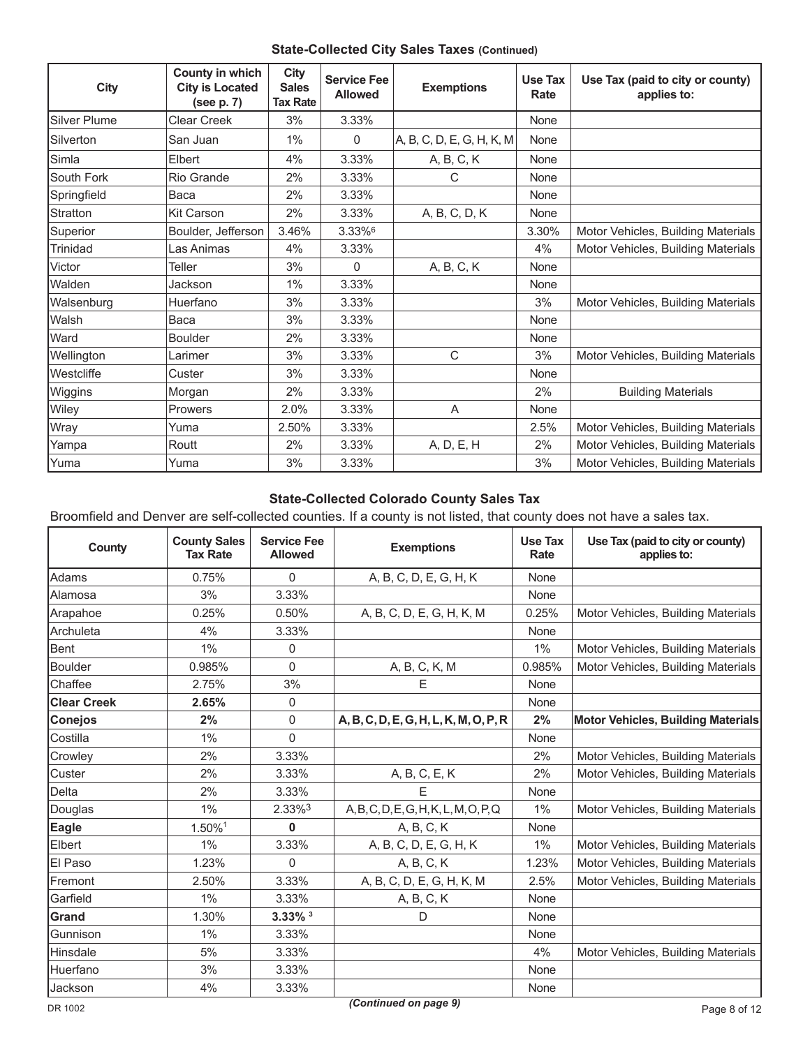### **State-Collected City Sales Taxes (Continued)**

| <b>City</b>         | County in which<br><b>City is Located</b><br>(see p. 7) | <b>City</b><br><b>Sales</b><br><b>Tax Rate</b> | <b>Service Fee</b><br><b>Allowed</b> | <b>Exemptions</b>         | Use Tax<br>Rate | Use Tax (paid to city or county)<br>applies to: |
|---------------------|---------------------------------------------------------|------------------------------------------------|--------------------------------------|---------------------------|-----------------|-------------------------------------------------|
| <b>Silver Plume</b> | Clear Creek                                             | 3%                                             | 3.33%                                |                           | None            |                                                 |
| Silverton           | San Juan                                                | 1%                                             | 0                                    | A, B, C, D, E, G, H, K, M | None            |                                                 |
| Simla               | Elbert                                                  | 4%                                             | 3.33%                                | A, B, C, K                | None            |                                                 |
| South Fork          | <b>Rio Grande</b>                                       | 2%                                             | 3.33%                                | C                         | None            |                                                 |
| Springfield         | Baca                                                    | 2%                                             | 3.33%                                |                           | None            |                                                 |
| Stratton            | <b>Kit Carson</b>                                       | 2%                                             | 3.33%                                | A, B, C, D, K             | None            |                                                 |
| Superior            | Boulder, Jefferson                                      | 3.46%                                          | 3.33%6                               |                           | 3.30%           | Motor Vehicles, Building Materials              |
| Trinidad            | Las Animas                                              | 4%                                             | 3.33%                                |                           | 4%              | Motor Vehicles, Building Materials              |
| Victor              | Teller                                                  | 3%                                             | $\Omega$                             | A, B, C, K                | None            |                                                 |
| Walden              | Jackson                                                 | $1\%$                                          | 3.33%                                |                           | None            |                                                 |
| Walsenburg          | Huerfano                                                | 3%                                             | 3.33%                                |                           | 3%              | Motor Vehicles, Building Materials              |
| Walsh               | Baca                                                    | 3%                                             | 3.33%                                |                           | None            |                                                 |
| Ward                | Boulder                                                 | 2%                                             | 3.33%                                |                           | None            |                                                 |
| Wellington          | Larimer                                                 | 3%                                             | 3.33%                                | C                         | 3%              | Motor Vehicles, Building Materials              |
| <b>Westcliffe</b>   | Custer                                                  | 3%                                             | 3.33%                                |                           | None            |                                                 |
| Wiggins             | Morgan                                                  | 2%                                             | 3.33%                                |                           | 2%              | <b>Building Materials</b>                       |
| Wiley               | Prowers                                                 | 2.0%                                           | 3.33%                                | $\overline{A}$            | None            |                                                 |
| Wray                | Yuma                                                    | 2.50%                                          | 3.33%                                |                           | 2.5%            | Motor Vehicles, Building Materials              |
| Yampa               | Routt                                                   | 2%                                             | 3.33%                                | A, D, E, H                | 2%              | Motor Vehicles, Building Materials              |
| Yuma                | Yuma                                                    | 3%                                             | 3.33%                                |                           | 3%              | Motor Vehicles, Building Materials              |

# **State-Collected Colorado County Sales Tax**

Broomfield and Denver are self-collected counties. If a county is not listed, that county does not have a sales tax.

| <b>County</b>      | <b>County Sales</b><br><b>Tax Rate</b> | <b>Service Fee</b><br><b>Allowed</b> | <b>Exemptions</b>                             | Use Tax<br>Rate | Use Tax (paid to city or county)<br>applies to: |
|--------------------|----------------------------------------|--------------------------------------|-----------------------------------------------|-----------------|-------------------------------------------------|
| <b>Adams</b>       | 0.75%                                  | $\mathbf{0}$                         | A, B, C, D, E, G, H, K                        | None            |                                                 |
| Alamosa            | 3%                                     | 3.33%                                |                                               | None            |                                                 |
| Arapahoe           | 0.25%                                  | 0.50%                                | A, B, C, D, E, G, H, K, M                     | 0.25%           | Motor Vehicles, Building Materials              |
| Archuleta          | 4%                                     | 3.33%                                |                                               | None            |                                                 |
| Bent               | 1%                                     | 0                                    |                                               | $1\%$           | Motor Vehicles, Building Materials              |
| Boulder            | 0.985%                                 | $\overline{0}$                       | A, B, C, K, M                                 | 0.985%          | Motor Vehicles, Building Materials              |
| Chaffee            | 2.75%                                  | 3%                                   | E                                             | None            |                                                 |
| <b>Clear Creek</b> | 2.65%                                  | 0                                    |                                               | None            |                                                 |
| Conejos            | 2%                                     | 0                                    | A, B, C, D, E, G, H, L, K, M, O, P, R         | 2%              | <b>Motor Vehicles, Building Materials</b>       |
| Costilla           | 1%                                     | $\overline{0}$                       |                                               | None            |                                                 |
| Crowley            | 2%                                     | 3.33%                                |                                               | 2%              | Motor Vehicles, Building Materials              |
| Custer             | 2%                                     | 3.33%                                | A, B, C, E, K                                 | 2%              | Motor Vehicles, Building Materials              |
| Delta              | 2%                                     | 3.33%                                | E                                             | None            |                                                 |
| Douglas            | 1%                                     | 2.33%3                               | A, B, C, D, E, G, H, K, L, M, O, P, Q         | 1%              | Motor Vehicles, Building Materials              |
| Eagle              | 1.50%1                                 | 0                                    | A, B, C, K                                    | None            |                                                 |
| Elbert             | 1%                                     | 3.33%                                | A, B, C, D, E, G, H, K                        | $1\%$           | Motor Vehicles, Building Materials              |
| El Paso            | 1.23%                                  | 0                                    | A, B, C, K                                    | 1.23%           | Motor Vehicles, Building Materials              |
| Fremont            | 2.50%                                  | 3.33%                                | A, B, C, D, E, G, H, K, M                     | 2.5%            | Motor Vehicles, Building Materials              |
| Garfield           | 1%                                     | 3.33%                                | $\mathsf{A},\mathsf{B},\mathsf{C},\mathsf{K}$ | None            |                                                 |
| Grand              | 1.30%                                  | $3.33\%$ <sup>3</sup>                | D                                             | None            |                                                 |
| Gunnison           | 1%                                     | 3.33%                                |                                               | None            |                                                 |
| Hinsdale           | 5%                                     | 3.33%                                |                                               | 4%              | Motor Vehicles, Building Materials              |
| Huerfano           | 3%                                     | 3.33%                                |                                               | None            |                                                 |
| Jackson            | 4%                                     | 3.33%                                |                                               | None            |                                                 |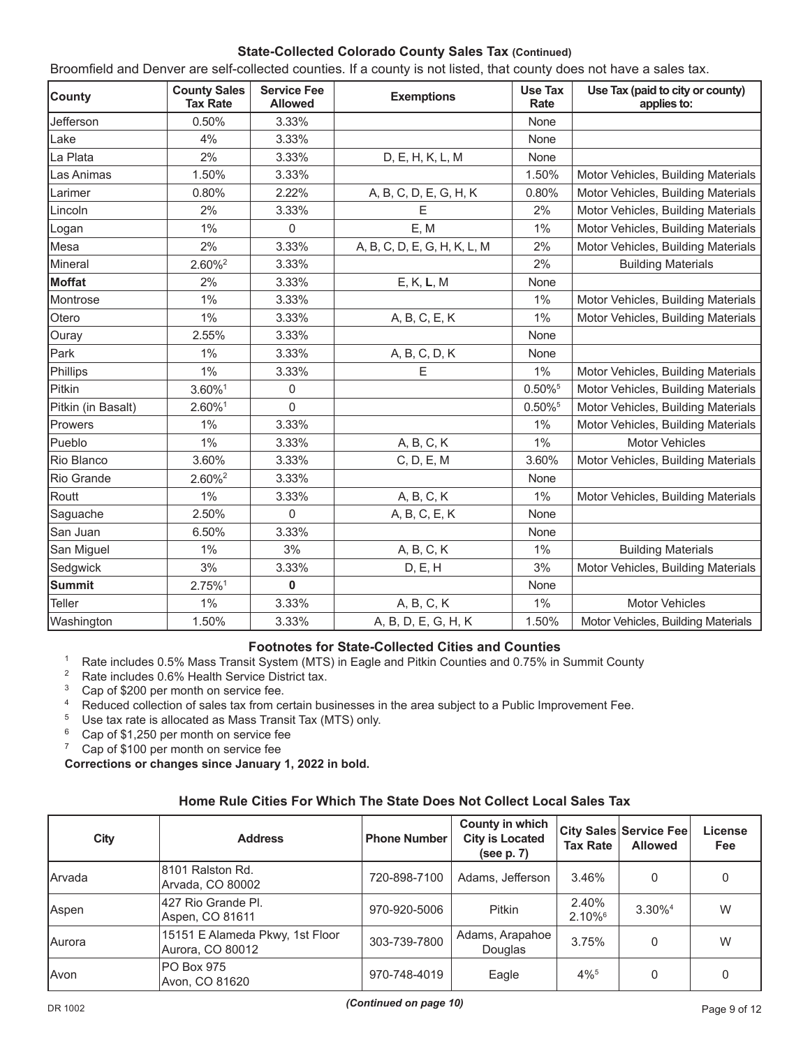### **State-Collected Colorado County Sales Tax (Continued)**

| <b>County</b>      | <b>County Sales</b><br><b>Tax Rate</b> | <b>Service Fee</b><br><b>Allowed</b> | <b>Exemptions</b>            | <b>Use Tax</b><br>Rate | Use Tax (paid to city or county)<br>applies to: |
|--------------------|----------------------------------------|--------------------------------------|------------------------------|------------------------|-------------------------------------------------|
| Jefferson          | 0.50%                                  | 3.33%                                |                              | None                   |                                                 |
| Lake               | 4%                                     | 3.33%                                |                              | None                   |                                                 |
| La Plata           | 2%                                     | 3.33%                                | D, E, H, K, L, M             | None                   |                                                 |
| Las Animas         | 1.50%                                  | 3.33%                                |                              | 1.50%                  | Motor Vehicles, Building Materials              |
| Larimer            | 0.80%                                  | 2.22%                                | A, B, C, D, E, G, H, K       | 0.80%                  | Motor Vehicles, Building Materials              |
| Lincoln            | 2%                                     | 3.33%                                | E                            | 2%                     | Motor Vehicles, Building Materials              |
| Logan              | 1%                                     | $\mathbf 0$                          | E, M                         | 1%                     | Motor Vehicles, Building Materials              |
| Mesa               | 2%                                     | 3.33%                                | A, B, C, D, E, G, H, K, L, M | 2%                     | Motor Vehicles, Building Materials              |
| Mineral            | $2.60\%$ <sup>2</sup>                  | 3.33%                                |                              | 2%                     | <b>Building Materials</b>                       |
| Moffat             | 2%                                     | 3.33%                                | E, K, L, M                   | None                   |                                                 |
| Montrose           | 1%                                     | 3.33%                                |                              | 1%                     | Motor Vehicles, Building Materials              |
| Otero              | 1%                                     | 3.33%                                | A, B, C, E, K                | 1%                     | Motor Vehicles, Building Materials              |
| Ouray              | 2.55%                                  | 3.33%                                |                              | None                   |                                                 |
| Park               | 1%                                     | 3.33%                                | A, B, C, D, K                | None                   |                                                 |
| Phillips           | 1%                                     | 3.33%                                | E                            | 1%                     | Motor Vehicles, Building Materials              |
| Pitkin             | 3.60%1                                 | 0                                    |                              | 0.50%                  | Motor Vehicles, Building Materials              |
| Pitkin (in Basalt) | 2.60%1                                 | $\overline{0}$                       |                              | 0.50%                  | Motor Vehicles, Building Materials              |
| Prowers            | 1%                                     | 3.33%                                |                              | 1%                     | Motor Vehicles, Building Materials              |
| Pueblo             | 1%                                     | 3.33%                                | A, B, C, K                   | 1%                     | <b>Motor Vehicles</b>                           |
| Rio Blanco         | 3.60%                                  | 3.33%                                | C, D, E, M                   | 3.60%                  | Motor Vehicles, Building Materials              |
| Rio Grande         | $2.60\%^{2}$                           | 3.33%                                |                              | None                   |                                                 |
| Routt              | 1%                                     | 3.33%                                | A, B, C, K                   | 1%                     | Motor Vehicles, Building Materials              |
| Saguache           | 2.50%                                  | $\overline{0}$                       | A, B, C, E, K                | None                   |                                                 |
| San Juan           | 6.50%                                  | 3.33%                                |                              | None                   |                                                 |
| San Miguel         | 1%                                     | 3%                                   | A, B, C, K                   | 1%                     | <b>Building Materials</b>                       |
| Sedgwick           | 3%                                     | 3.33%                                | D, E, H                      | 3%                     | Motor Vehicles, Building Materials              |
| <b>Summit</b>      | 2.75%1                                 | $\pmb{0}$                            |                              | None                   |                                                 |
| Teller             | 1%                                     | 3.33%                                | A, B, C, K                   | 1%                     | <b>Motor Vehicles</b>                           |
| Washington         | 1.50%                                  | 3.33%                                | A, B, D, E, G, H, K          | 1.50%                  | Motor Vehicles, Building Materials              |

#### Broomfield and Denver are self-collected counties. If a county is not listed, that county does not have a sales tax.

### **Footnotes for State-Collected Cities and Counties**

- <sup>1</sup> Rate includes 0.5% Mass Transit System (MTS) in Eagle and Pitkin Counties and 0.75% in Summit County  $\frac{2}{1}$
- <sup>2</sup> Rate includes  $0.6\%$  Health Service District tax.<br><sup>3</sup> Cap of \$200 per month on service fee
- <sup>3</sup> Cap of \$200 per month on service fee.<br><sup>4</sup> Peduced collection of sales tax from co
- <sup>4</sup> Reduced collection of sales tax from certain businesses in the area subject to a Public Improvement Fee.<br><sup>5</sup> Use tax rate is allocated as Mass Transit Tax (MTS) only
- <sup>5</sup> Use tax rate is allocated as Mass Transit Tax (MTS) only.<br><sup>6</sup> Cap of \$1.250 per month on service fee
- <sup>6</sup> Cap of \$1,250 per month on service fee<br><sup>7</sup> Cap of \$100 per month on service fee
- Cap of \$100 per month on service fee

**Corrections or changes since January 1, 2022 in bold.**

### **Home Rule Cities For Which The State Does Not Collect Local Sales Tax**

| City          | <b>Address</b>                                      | <b>Phone Number</b> | County in which<br><b>City is Located</b><br>(see p. 7) | <b>Tax Rate</b>                | <b>City Sales Service Fee</b><br><b>Allowed</b> | License<br>Fee |
|---------------|-----------------------------------------------------|---------------------|---------------------------------------------------------|--------------------------------|-------------------------------------------------|----------------|
| <b>Arvada</b> | 8101 Ralston Rd.<br>Arvada, CO 80002                | 720-898-7100        | Adams, Jefferson                                        | 3.46%                          | 0                                               | 0              |
| Aspen         | 427 Rio Grande Pl.<br>Aspen, CO 81611               | 970-920-5006        | Pitkin                                                  | 2.40%<br>$2.10\%$ <sup>6</sup> | 3.30% <sup>4</sup>                              | W              |
| Aurora        | 15151 E Alameda Pkwy, 1st Floor<br>Aurora, CO 80012 | 303-739-7800        | Adams, Arapahoe<br>Douglas                              | 3.75%                          | 0                                               | W              |
| Avon          | PO Box 975<br>Avon. CO 81620                        | 970-748-4019        | Eagle                                                   | $4\%$ <sup>5</sup>             | 0                                               |                |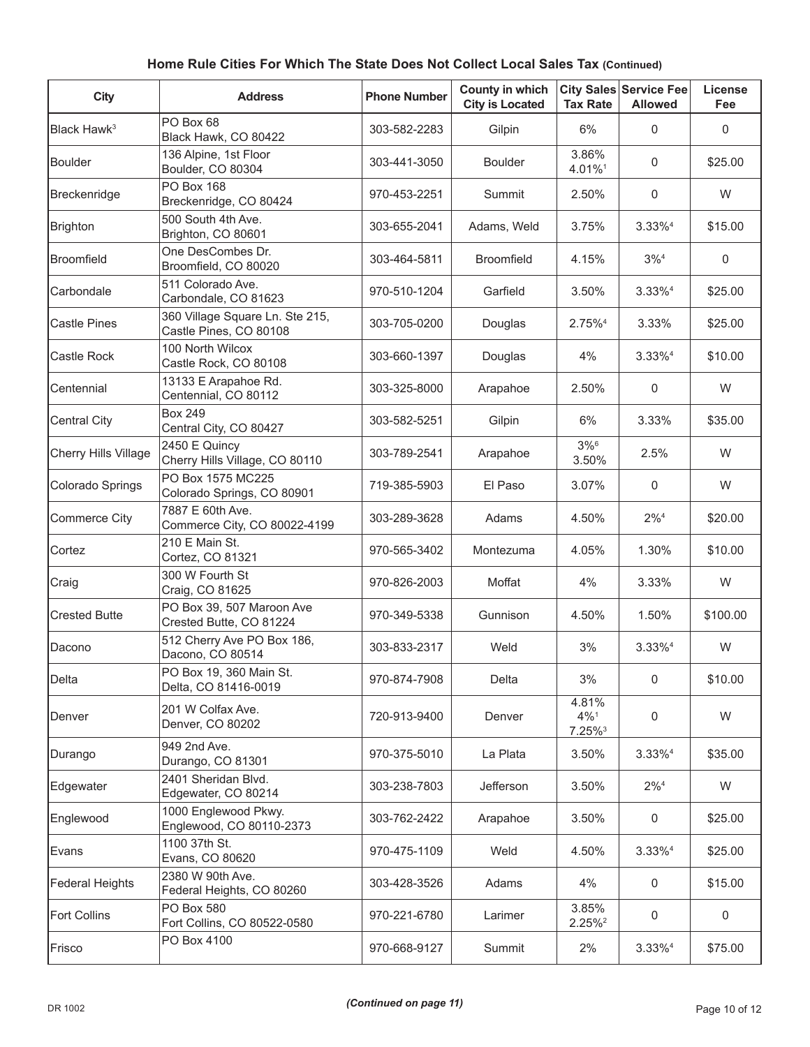#### **City Address Phone Number County in which City City is Located City Sales Service Fee Tax Rate Allowed License Fee**  $B$ lack Hawk<sup>3</sup> PO Box 68 Black Hawk, CO 80422 303-582-2283 Gilpin 6% <sup>0</sup> <sup>0</sup> Boulder 136 Alpine, 1st Floor 136 Alpine, 1st Floor | 303-441-3050 | Boulder | 3.86% | 3.86% | 3.86% | 3.86% | 3.86% | 3.86% | 3.86% | 3.96%  $4.01\%$ <sup>1</sup> 0 \$25.00 Breckenridge PO Box 168  $B = 5000100$  Breckenridge, CO 80424 970-453-2251 Summit 2.50% 0 W Brighton 500 South 4th Ave.  $\begin{array}{|c|c|c|c|c|c|c|c|}\n\hline\n\text{Brighton, CO } 80601 & & & 303-655-2041 & \text{Adams, Weld} & 3.75\% & 3.33\% & 515.00\n\hline\n\end{array}$ Broomfield One DesCombes Dr. Broomfield, CO 80020 303-464-5811 Broomfield 4.15% 3%<sup>4</sup> 0 Carbondale 511 Colorado Ave. STT Colorado Ave.<br>Carbondale, CO 81623 (970-510-1204) Garfield 3.50% 3.33%<sup>4</sup> \$25.00 Castle Pines  $\begin{bmatrix} 360 \text{ Village Square Ln.} \end{bmatrix}$  Section Castle Pines, CO 80108  $\begin{array}{|l|l|l|}\n\hline\n\end{array}$  303-705-0200 Douglas  $\begin{array}{|l|l|l|}\n\hline\n\end{array}$  2.75%<sup>4</sup> 3.33%  $\begin{array}{|l|l|l|}\n\hline\n\end{array}$  \$25.00 Castle Rock 100 North Wilcox 100 NOME VIICOX<br>Castle Rock, CO 80108  $\begin{vmatrix} 303-660-1397 & D$  Douglas  $\begin{vmatrix} 4\% & 3.33\% \end{vmatrix}$  \$10.00 Centennial 13133 E Arapahoe Rd. 19199 E Arapanoe Rui.<br>Centennial, CO 80112 (303-325-8000) Arapahoe (2.50%) 0 W Central City Box 249  $\begin{array}{|c|c|c|c|c|c|c|c|}\n\hline\n\text{Central City, CO } & 80427 & & 303-582-5251 & & \text{Gilpin} & & 6% & 3.33% & \text{$$35.00$} \\
\hline\n\end{array}$ Cherry Hills Village 2450 E Quincy 2450 E Quincy  $\begin{array}{|l|l|}\n\hline\n\text{Cherry Hills Village, CO 80110} & & 303-789-2541 & & \text{Arapahoe} & & 3\%66 \\
\hline\n\end{array}$  $3.50\%$  2.5% W Colorado Springs PO Box 1575 MC225 Colorado Springs, CO 80901 719-385-5903 El Paso 3.07% 0 W Commerce City 7887 E 60th Ave.  $\begin{array}{c|c|c|c|c|c|c|c|c} \hline \text{C} & \text{C} & \text{C} & \text{C} & \text{C} \\ \hline \text{C} & \text{C} & \text{C} & \text{C} & \text{C} & \text{C} & \text{C} \\ \hline \text{C} & \text{C} & \text{C} & \text{C} & \text{C} & \text{C} & \text{C} & \text{C} \end{array}$  and  $\begin{array}{c|c|c|c|c} \hline \text{C} & \text{C} & \text{C} & \text{C} & \text{C} & \text{C} \\ \hline$ Cortez 210 E Main St. 210 E Main St. (1980)<br>Cortez, CO 81321 (1970-565-3402 | Montezuma | 4.05% | 1.30% | \$10.00 Craig 300 W Fourth St Soo w Tourul St<br>Craig, CO 81625 970-826-2003 Moffat 4% 3.33% W Crested Butte PO Box 39, 507 Maroon Ave Crested Butte, CO 81224 970-349-5338 Gunnison 4.50% 1.50% \$100.00 Dacono 512 Cherry Ave PO Box 186, 512 Cherry Ave PO Box 166, 2003-833-2317 | Weld | 3% | 3.33%<sup>4</sup> | W<br>Dacono, CO 80514 Delta PO Box 19, 360 Main St. Delta, CO 81416-0019 970-874-7908 Delta 3% <sup>0</sup> \$10.00 Denver 201 W Colfax Ave. 201 W Collax Ave.<br>Denver, CO 80202 2000 | 720-913-9400 | Denver 4.81% 4%1 7.25%3  $0 \qquad W$ Durango 949 2nd Ave. Durango, CO 81301 970-375-5010 La Plata 3.50% 3.33%4 \$35.00 Edgewater 2401 Sheridan Blvd.  $E$ do Folendari Bivd.<br>Edgewater, CO 80214  $\vert$  303-238-7803 | Jefferson | 3.50% | 2%<sup>4</sup> | W Englewood 1000 Englewood Pkwy. Englewood, CO 80110-2373  $\begin{array}{|l|l|l|}\n\end{array}$  303-762-2422 Arapahoe 3.50% 0  $\begin{array}{|l|l|}\n\end{array}$  \$25.00 Evans 1100 37th St. Evans, CO 80620 **970-475-1109** Weld 4.50% 3.33%<sup>4</sup> \$25.00 Federal Heights 2380 W 90th Ave. 2360 W 9001 AVE.<br>Federal Heights, CO 80260  $\begin{array}{|l|c|c|c|c|c|} \hline \end{array}$  303-428-3526 Adams 4% 4% 0 \$15.00 Fort Collins  $\begin{bmatrix} PO & Box & 580 \\ - ∪ & \dots \end{bmatrix}$ PO Box 580 3.85%<br>Fort Collins, CO 80522-0580 970-221-6780 Larimer 3.85%  $2.25\%^{2}$  0 0 Frisco PO Box 4100 970-668-9127 Summit 2% 3.33%4 \$75.00

### **Home Rule Cities For Which The State Does Not Collect Local Sales Tax (Continued)**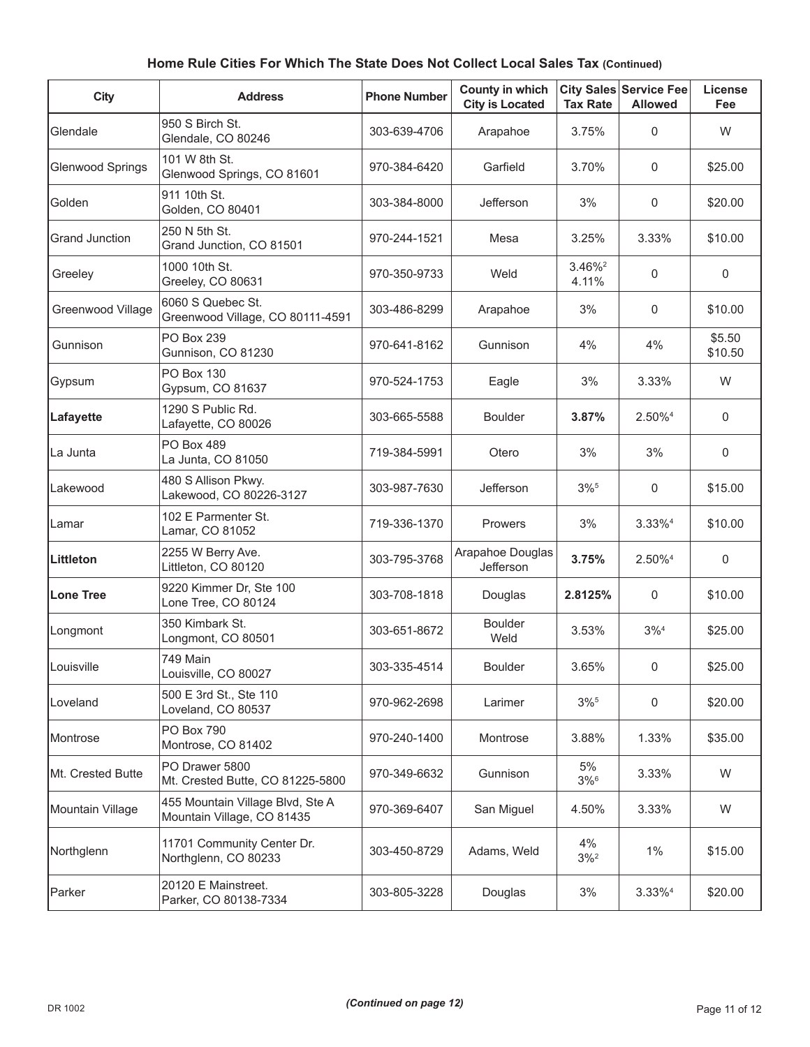| <b>City</b>             | <b>Address</b>                                                 | <b>Phone Number</b> | County in which<br><b>City is Located</b> | <b>Tax Rate</b>             | <b>City Sales Service Fee</b><br><b>Allowed</b> | License<br>Fee    |
|-------------------------|----------------------------------------------------------------|---------------------|-------------------------------------------|-----------------------------|-------------------------------------------------|-------------------|
| Glendale                | 950 S Birch St.<br>Glendale, CO 80246                          | 303-639-4706        | Arapahoe                                  | 3.75%                       | $\mathbf 0$                                     | W                 |
| <b>Glenwood Springs</b> | 101 W 8th St.<br>Glenwood Springs, CO 81601                    | 970-384-6420        | Garfield                                  | 3.70%                       | $\mathbf 0$                                     | \$25.00           |
| Golden                  | 911 10th St.<br>Golden, CO 80401                               | 303-384-8000        | Jefferson                                 | 3%                          | $\mathbf 0$                                     | \$20.00           |
| <b>Grand Junction</b>   | 250 N 5th St.<br>Grand Junction, CO 81501                      | 970-244-1521        | Mesa                                      | 3.25%                       | 3.33%                                           | \$10.00           |
| Greeley                 | 1000 10th St.<br>Greeley, CO 80631                             | 970-350-9733        | Weld                                      | 3.46% <sup>2</sup><br>4.11% | $\mathbf 0$                                     | $\mathbf 0$       |
| Greenwood Village       | 6060 S Quebec St.<br>Greenwood Village, CO 80111-4591          | 303-486-8299        | Arapahoe                                  | 3%                          | $\mathbf 0$                                     | \$10.00           |
| Gunnison                | PO Box 239<br>Gunnison, CO 81230                               | 970-641-8162        | Gunnison                                  | 4%                          | 4%                                              | \$5.50<br>\$10.50 |
| Gypsum                  | <b>PO Box 130</b><br>Gypsum, CO 81637                          | 970-524-1753        | Eagle                                     | 3%                          | 3.33%                                           | W                 |
| Lafayette               | 1290 S Public Rd.<br>Lafayette, CO 80026                       | 303-665-5588        | <b>Boulder</b>                            | 3.87%                       | 2.50% <sup>4</sup>                              | $\mathbf 0$       |
| La Junta                | PO Box 489<br>La Junta, CO 81050                               | 719-384-5991        | Otero                                     | 3%                          | 3%                                              | $\mathsf{O}$      |
| Lakewood                | 480 S Allison Pkwy.<br>Lakewood, CO 80226-3127                 | 303-987-7630        | Jefferson                                 | $3\%$ <sup>5</sup>          | $\mathbf 0$                                     | \$15.00           |
| Lamar                   | 102 E Parmenter St.<br>Lamar, CO 81052                         | 719-336-1370        | Prowers                                   | 3%                          | $3.33\%4$                                       | \$10.00           |
| Littleton               | 2255 W Berry Ave.<br>Littleton, CO 80120                       | 303-795-3768        | Arapahoe Douglas<br>Jefferson             | 3.75%                       | 2.50% <sup>4</sup>                              | $\mathbf 0$       |
| Lone Tree               | 9220 Kimmer Dr, Ste 100<br>Lone Tree, CO 80124                 | 303-708-1818        | Douglas                                   | 2.8125%                     | $\mathbf 0$                                     | \$10.00           |
| Longmont                | 350 Kimbark St.<br>Longmont, CO 80501                          | 303-651-8672        | <b>Boulder</b><br>Weld                    | 3.53%                       | $3\%^{4}$                                       | \$25.00           |
| Louisville              | 749 Main<br>Louisville, CO 80027                               | 303-335-4514        | <b>Boulder</b>                            | 3.65%                       | 0                                               | \$25.00           |
| Loveland                | 500 E 3rd St., Ste 110<br>Loveland, CO 80537                   | 970-962-2698        | Larimer                                   | $3\%$ <sup>5</sup>          | $\mathbf 0$                                     | \$20.00           |
| Montrose                | <b>PO Box 790</b><br>Montrose, CO 81402                        | 970-240-1400        | Montrose                                  | 3.88%                       | 1.33%                                           | \$35.00           |
| Mt. Crested Butte       | PO Drawer 5800<br>Mt. Crested Butte, CO 81225-5800             | 970-349-6632        | Gunnison                                  | 5%<br>$3\%$ <sup>6</sup>    | 3.33%                                           | W                 |
| Mountain Village        | 455 Mountain Village Blvd, Ste A<br>Mountain Village, CO 81435 | 970-369-6407        | San Miguel                                | 4.50%                       | 3.33%                                           | W                 |
| Northglenn              | 11701 Community Center Dr.<br>Northglenn, CO 80233             | 303-450-8729        | Adams, Weld                               | 4%<br>$3\%$ <sup>2</sup>    | $1\%$                                           | \$15.00           |
| Parker                  | 20120 E Mainstreet.<br>Parker, CO 80138-7334                   | 303-805-3228        | Douglas                                   | 3%                          | 3.33% <sup>4</sup>                              | \$20.00           |

# **Home Rule Cities For Which The State Does Not Collect Local Sales Tax (Continued)**